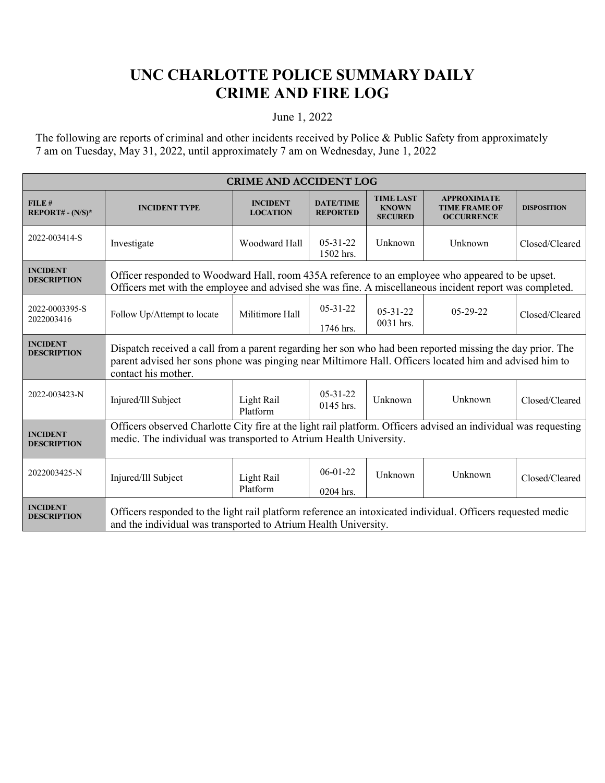## **UNC CHARLOTTE POLICE SUMMARY DAILY CRIME AND FIRE LOG**

## June 1, 2022

The following are reports of criminal and other incidents received by Police & Public Safety from approximately 7 am on Tuesday, May 31, 2022, until approximately 7 am on Wednesday, June 1, 2022

| <b>CRIME AND ACCIDENT LOG</b>         |                                                                                                                                                                                                                                            |                                    |                                     |                                                    |                                                                 |                    |
|---------------------------------------|--------------------------------------------------------------------------------------------------------------------------------------------------------------------------------------------------------------------------------------------|------------------------------------|-------------------------------------|----------------------------------------------------|-----------------------------------------------------------------|--------------------|
| FILE#<br>$REPORT# - (N/S)*$           | <b>INCIDENT TYPE</b>                                                                                                                                                                                                                       | <b>INCIDENT</b><br><b>LOCATION</b> | <b>DATE/TIME</b><br><b>REPORTED</b> | <b>TIME LAST</b><br><b>KNOWN</b><br><b>SECURED</b> | <b>APPROXIMATE</b><br><b>TIME FRAME OF</b><br><b>OCCURRENCE</b> | <b>DISPOSITION</b> |
| 2022-003414-S                         | Investigate                                                                                                                                                                                                                                | Woodward Hall                      | $05 - 31 - 22$<br>1502 hrs.         | Unknown                                            | Unknown                                                         | Closed/Cleared     |
| <b>INCIDENT</b><br><b>DESCRIPTION</b> | Officer responded to Woodward Hall, room 435A reference to an employee who appeared to be upset.<br>Officers met with the employee and advised she was fine. A miscellaneous incident report was completed.                                |                                    |                                     |                                                    |                                                                 |                    |
| 2022-0003395-S<br>2022003416          | Follow Up/Attempt to locate                                                                                                                                                                                                                | Militimore Hall                    | $05-31-22$<br>1746 hrs.             | $05 - 31 - 22$<br>0031 hrs.                        | $05-29-22$                                                      | Closed/Cleared     |
| <b>INCIDENT</b><br><b>DESCRIPTION</b> | Dispatch received a call from a parent regarding her son who had been reported missing the day prior. The<br>parent advised her sons phone was pinging near Miltimore Hall. Officers located him and advised him to<br>contact his mother. |                                    |                                     |                                                    |                                                                 |                    |
| 2022-003423-N                         | Injured/Ill Subject                                                                                                                                                                                                                        | Light Rail<br>Platform             | $05-31-22$<br>$0145$ hrs.           | Unknown                                            | Unknown                                                         | Closed/Cleared     |
| <b>INCIDENT</b><br><b>DESCRIPTION</b> | Officers observed Charlotte City fire at the light rail platform. Officers advised an individual was requesting<br>medic. The individual was transported to Atrium Health University.                                                      |                                    |                                     |                                                    |                                                                 |                    |
| 2022003425-N                          | Injured/Ill Subject                                                                                                                                                                                                                        | Light Rail<br>Platform             | $06-01-22$<br>0204 hrs.             | Unknown                                            | Unknown                                                         | Closed/Cleared     |
| <b>INCIDENT</b><br><b>DESCRIPTION</b> | Officers responded to the light rail platform reference an intoxicated individual. Officers requested medic<br>and the individual was transported to Atrium Health University.                                                             |                                    |                                     |                                                    |                                                                 |                    |